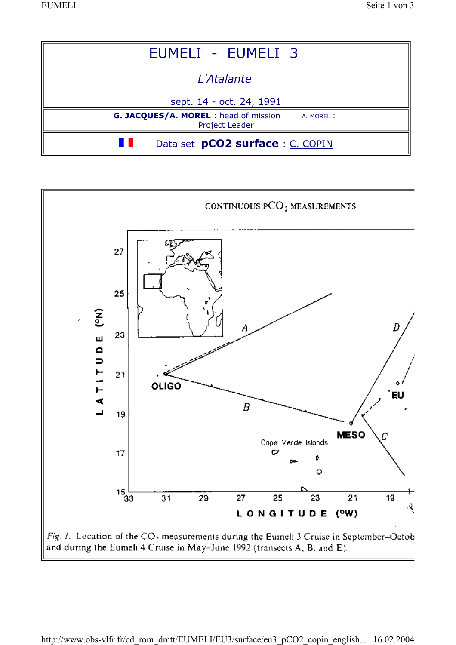

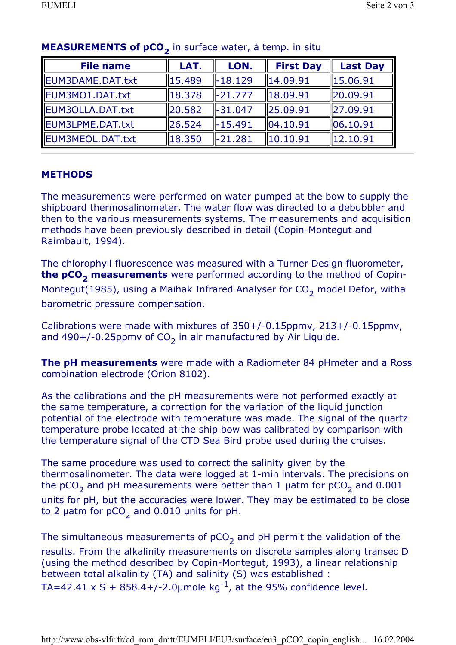| <b>File name</b> | LAT.   | LON.      | <b>First Day</b>     | <b>Last Day</b>        |
|------------------|--------|-----------|----------------------|------------------------|
| EUM3DAME.DAT.txt | 15.489 | $-18.129$ | 14.09.91             | $\vert 15.06.91 \vert$ |
| EUM3MO1.DAT.txt  | 18.378 | $-21.777$ | $\ 18.09.91$         | 20.09.91               |
| EUM3OLLA.DAT.txt | 20.582 | $-31.047$ | 125.09.91            | 27.09.91               |
| EUM3LPME.DAT.txt | 26.524 | -15.491   | $\parallel$ 04.10.91 | $\ 06.10.91$           |
| EUM3MEOL.DAT.txt | 18.350 | $-21.281$ | 10.10.91             | 12.10.91               |

## MEASUREMENTS of pCO<sub>2</sub> in surface water, à temp. in situ

## **METHODS**

The measurements were performed on water pumped at the bow to supply the shipboard thermosalinometer. The water flow was directed to a debubbler and then to the various measurements systems. The measurements and acquisition methods have been previously described in detail (Copin-Montegut and Raimbault, 1994).

The chlorophyll fluorescence was measured with a Turner Design fluorometer, the pCO<sub>2</sub> measurements were performed according to the method of Copin-Montegut(1985), using a Maihak Infrared Analyser for  $CO<sub>2</sub>$  model Defor, witha barometric pressure compensation.

Calibrations were made with mixtures of 350+/-0.15ppmv, 213+/-0.15ppmv, and 490+/-0.25ppmv of  $CO<sub>2</sub>$  in air manufactured by Air Liquide.

**The pH measurements** were made with a Radiometer 84 pHmeter and a Ross combination electrode (Orion 8102).

As the calibrations and the pH measurements were not performed exactly at the same temperature, a correction for the variation of the liquid junction potential of the electrode with temperature was made. The signal of the quartz temperature probe located at the ship bow was calibrated by comparison with the temperature signal of the CTD Sea Bird probe used during the cruises.

The same procedure was used to correct the salinity given by the thermosalinometer. The data were logged at 1-min intervals. The precisions on the  $pCO<sub>2</sub>$  and pH measurements were better than 1 µatm for  $pCO<sub>2</sub>$  and 0.001 units for pH, but the accuracies were lower. They may be estimated to be close to 2 µatm for  $pCO<sub>2</sub>$  and 0.010 units for pH.

The simultaneous measurements of  $pCO<sub>2</sub>$  and pH permit the validation of the results. From the alkalinity measurements on discrete samples along transec D (using the method described by Copin-Montegut, 1993), a linear relationship between total alkalinity (TA) and salinity (S) was established : TA=42.41 x S + 858.4+/-2.0 µmole kg<sup>-1</sup>, at the 95% confidence level.